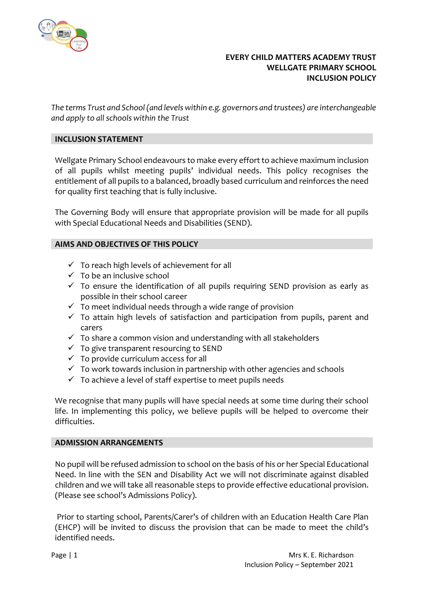

# **EVERY CHILD MATTERS ACADEMY TRUST WELLGATE PRIMARY SCHOOL INCLUSION POLICY**

*The terms Trust and School (and levels within e.g. governors and trustees) are interchangeable and apply to all schools within the Trust*

## **INCLUSION STATEMENT**

Wellgate Primary School endeavours to make every effort to achieve maximum inclusion of all pupils whilst meeting pupils' individual needs. This policy recognises the entitlement of all pupils to a balanced, broadly based curriculum and reinforces the need for quality first teaching that is fully inclusive.

The Governing Body will ensure that appropriate provision will be made for all pupils with Special Educational Needs and Disabilities (SEND).

## **AIMS AND OBJECTIVES OF THIS POLICY**

- $\checkmark$  To reach high levels of achievement for all
- $\checkmark$  To be an inclusive school
- $\checkmark$  To ensure the identification of all pupils requiring SEND provision as early as possible in their school career
- $\checkmark$  To meet individual needs through a wide range of provision
- $\checkmark$  To attain high levels of satisfaction and participation from pupils, parent and carers
- $\checkmark$  To share a common vision and understanding with all stakeholders
- $\checkmark$  To give transparent resourcing to SEND
- $\checkmark$  To provide curriculum access for all
- $\checkmark$  To work towards inclusion in partnership with other agencies and schools
- $\checkmark$  To achieve a level of staff expertise to meet pupils needs

We recognise that many pupils will have special needs at some time during their school life. In implementing this policy, we believe pupils will be helped to overcome their difficulties.

### **ADMISSION ARRANGEMENTS**

No pupil will be refused admission to school on the basis of his or her Special Educational Need. In line with the SEN and Disability Act we will not discriminate against disabled children and we will take all reasonable steps to provide effective educational provision. (Please see school's Admissions Policy).

Prior to starting school, Parents/Carer's of children with an Education Health Care Plan (EHCP) will be invited to discuss the provision that can be made to meet the child's identified needs.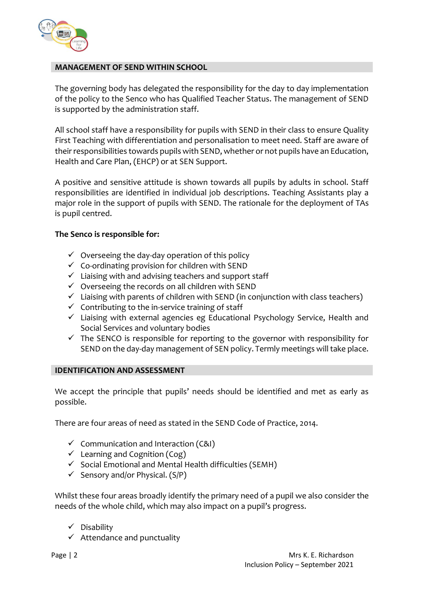

## **MANAGEMENT OF SEND WITHIN SCHOOL**

The governing body has delegated the responsibility for the day to day implementation of the policy to the Senco who has Qualified Teacher Status. The management of SEND is supported by the administration staff.

All school staff have a responsibility for pupils with SEND in their class to ensure Quality First Teaching with differentiation and personalisation to meet need. Staff are aware of their responsibilities towards pupils with SEND, whether or not pupils have an Education, Health and Care Plan, (EHCP) or at SEN Support.

A positive and sensitive attitude is shown towards all pupils by adults in school. Staff responsibilities are identified in individual job descriptions. Teaching Assistants play a major role in the support of pupils with SEND. The rationale for the deployment of TAs is pupil centred.

## **The Senco is responsible for:**

- $\checkmark$  Overseeing the day-day operation of this policy
- $\checkmark$  Co-ordinating provision for children with SEND
- ✓ Liaising with and advising teachers and support staff
- $\checkmark$  Overseeing the records on all children with SEND
- $\checkmark$  Liaising with parents of children with SEND (in conjunction with class teachers)
- $\checkmark$  Contributing to the in-service training of staff
- ✓ Liaising with external agencies eg Educational Psychology Service, Health and Social Services and voluntary bodies
- $\checkmark$  The SENCO is responsible for reporting to the governor with responsibility for SEND on the day-day management of SEN policy. Termly meetings will take place.

# **IDENTIFICATION AND ASSESSMENT**

We accept the principle that pupils' needs should be identified and met as early as possible.

There are four areas of need as stated in the SEND Code of Practice, 2014.

- $\checkmark$  Communication and Interaction (C&I)
- $\checkmark$  Learning and Cognition (Cog)
- $\checkmark$  Social Emotional and Mental Health difficulties (SEMH)
- $\checkmark$  Sensory and/or Physical. (S/P)

Whilst these four areas broadly identify the primary need of a pupil we also consider the needs of the whole child, which may also impact on a pupil's progress.

- ✓ Disability
- $\checkmark$  Attendance and punctuality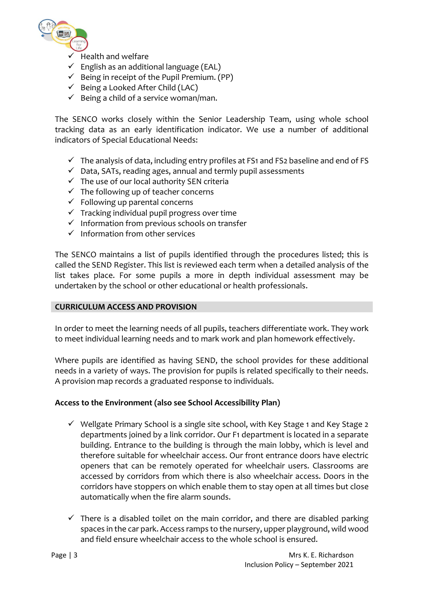

- Health and welfare
- $\checkmark$  English as an additional language (EAL)
- $\checkmark$  Being in receipt of the Pupil Premium. (PP)
- $\checkmark$  Being a Looked After Child (LAC)
- $\checkmark$  Being a child of a service woman/man.

The SENCO works closely within the Senior Leadership Team, using whole school tracking data as an early identification indicator. We use a number of additional indicators of Special Educational Needs:

- $\checkmark$  The analysis of data, including entry profiles at FS1 and FS2 baseline and end of FS
- ✓ Data, SATs, reading ages, annual and termly pupil assessments
- $\checkmark$  The use of our local authority SEN criteria
- $\checkmark$  The following up of teacher concerns
- $\checkmark$  Following up parental concerns
- $\checkmark$  Tracking individual pupil progress over time
- $\checkmark$  Information from previous schools on transfer
- $\checkmark$  Information from other services

The SENCO maintains a list of pupils identified through the procedures listed; this is called the SEND Register. This list is reviewed each term when a detailed analysis of the list takes place. For some pupils a more in depth individual assessment may be undertaken by the school or other educational or health professionals.

# **CURRICULUM ACCESS AND PROVISION**

In order to meet the learning needs of all pupils, teachers differentiate work. They work to meet individual learning needs and to mark work and plan homework effectively.

Where pupils are identified as having SEND, the school provides for these additional needs in a variety of ways. The provision for pupils is related specifically to their needs. A provision map records a graduated response to individuals.

# **Access to the Environment (also see School Accessibility Plan)**

- ✓ Wellgate Primary School is a single site school, with Key Stage 1 and Key Stage 2 departments joined by a link corridor. Our F1 department is located in a separate building. Entrance to the building is through the main lobby, which is level and therefore suitable for wheelchair access. Our front entrance doors have electric openers that can be remotely operated for wheelchair users. Classrooms are accessed by corridors from which there is also wheelchair access. Doors in the corridors have stoppers on which enable them to stay open at all times but close automatically when the fire alarm sounds.
- $\checkmark$  There is a disabled toilet on the main corridor, and there are disabled parking spaces in the car park. Access ramps to the nursery, upper playground, wild wood and field ensure wheelchair access to the whole school is ensured.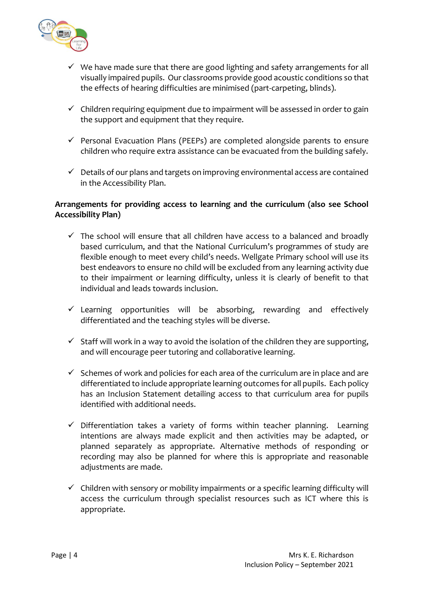

- $\checkmark$  We have made sure that there are good lighting and safety arrangements for all visually impaired pupils. Our classrooms provide good acoustic conditions so that the effects of hearing difficulties are minimised (part-carpeting, blinds).
- $\checkmark$  Children requiring equipment due to impairment will be assessed in order to gain the support and equipment that they require.
- ✓ Personal Evacuation Plans (PEEPs) are completed alongside parents to ensure children who require extra assistance can be evacuated from the building safely.
- $\checkmark$  Details of our plans and targets on improving environmental access are contained in the Accessibility Plan.

# **Arrangements for providing access to learning and the curriculum (also see School Accessibility Plan)**

- $\checkmark$  The school will ensure that all children have access to a balanced and broadly based curriculum, and that the National Curriculum's programmes of study are flexible enough to meet every child's needs. Wellgate Primary school will use its best endeavors to ensure no child will be excluded from any learning activity due to their impairment or learning difficulty, unless it is clearly of benefit to that individual and leads towards inclusion.
- $\checkmark$  Learning opportunities will be absorbing, rewarding and effectively differentiated and the teaching styles will be diverse.
- $\checkmark$  Staff will work in a way to avoid the isolation of the children they are supporting, and will encourage peer tutoring and collaborative learning.
- $\checkmark$  Schemes of work and policies for each area of the curriculum are in place and are differentiated to include appropriate learning outcomes for all pupils. Each policy has an Inclusion Statement detailing access to that curriculum area for pupils identified with additional needs.
- $\checkmark$  Differentiation takes a variety of forms within teacher planning. Learning intentions are always made explicit and then activities may be adapted, or planned separately as appropriate. Alternative methods of responding or recording may also be planned for where this is appropriate and reasonable adjustments are made.
- $\checkmark$  Children with sensory or mobility impairments or a specific learning difficulty will access the curriculum through specialist resources such as ICT where this is appropriate.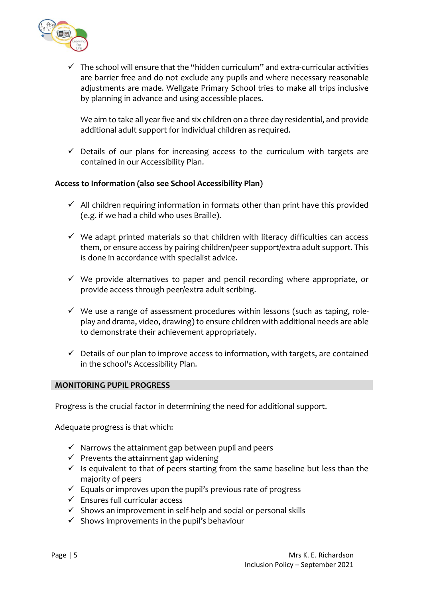

 $\checkmark$  The school will ensure that the "hidden curriculum" and extra-curricular activities are barrier free and do not exclude any pupils and where necessary reasonable adjustments are made. Wellgate Primary School tries to make all trips inclusive by planning in advance and using accessible places.

We aim to take all year five and six children on a three day residential, and provide additional adult support for individual children as required.

 $\checkmark$  Details of our plans for increasing access to the curriculum with targets are contained in our Accessibility Plan.

# **Access to Information (also see School Accessibility Plan)**

- $\checkmark$  All children requiring information in formats other than print have this provided (e.g. if we had a child who uses Braille).
- $\checkmark$  We adapt printed materials so that children with literacy difficulties can access them, or ensure access by pairing children/peer support/extra adult support. This is done in accordance with specialist advice.
- $\checkmark$  We provide alternatives to paper and pencil recording where appropriate, or provide access through peer/extra adult scribing.
- $\checkmark$  We use a range of assessment procedures within lessons (such as taping, roleplay and drama, video, drawing) to ensure children with additional needs are able to demonstrate their achievement appropriately.
- $\checkmark$  Details of our plan to improve access to information, with targets, are contained in the school's Accessibility Plan.

### **MONITORING PUPIL PROGRESS**

Progress is the crucial factor in determining the need for additional support.

Adequate progress is that which:

- $\checkmark$  Narrows the attainment gap between pupil and peers
- $\checkmark$  Prevents the attainment gap widening
- $\checkmark$  Is equivalent to that of peers starting from the same baseline but less than the majority of peers
- $\checkmark$  Equals or improves upon the pupil's previous rate of progress
- $\checkmark$  Ensures full curricular access
- $\checkmark$  Shows an improvement in self-help and social or personal skills
- $\checkmark$  Shows improvements in the pupil's behaviour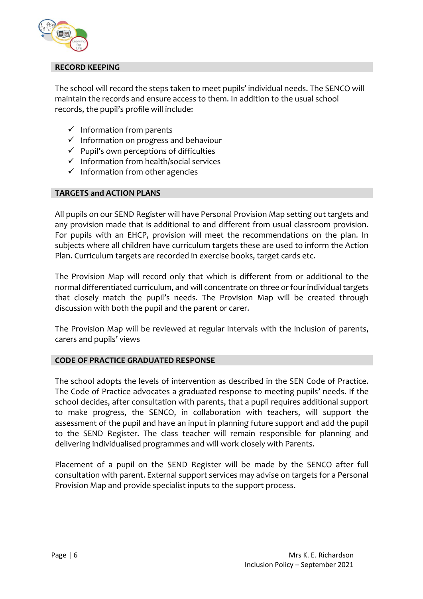

# **RECORD KEEPING**

The school will record the steps taken to meet pupils' individual needs. The SENCO will maintain the records and ensure access to them. In addition to the usual school records, the pupil's profile will include:

- $\checkmark$  Information from parents
- $\checkmark$  Information on progress and behaviour
- $\checkmark$  Pupil's own perceptions of difficulties
- ✓ Information from health/social services
- $\checkmark$  Information from other agencies

## **TARGETS and ACTION PLANS**

All pupils on our SEND Register will have Personal Provision Map setting out targets and any provision made that is additional to and different from usual classroom provision. For pupils with an EHCP, provision will meet the recommendations on the plan. In subjects where all children have curriculum targets these are used to inform the Action Plan. Curriculum targets are recorded in exercise books, target cards etc.

The Provision Map will record only that which is different from or additional to the normal differentiated curriculum, and will concentrate on three or four individual targets that closely match the pupil's needs. The Provision Map will be created through discussion with both the pupil and the parent or carer.

The Provision Map will be reviewed at regular intervals with the inclusion of parents, carers and pupils' views

# **CODE OF PRACTICE GRADUATED RESPONSE**

The school adopts the levels of intervention as described in the SEN Code of Practice. The Code of Practice advocates a graduated response to meeting pupils' needs. If the school decides, after consultation with parents, that a pupil requires additional support to make progress, the SENCO, in collaboration with teachers, will support the assessment of the pupil and have an input in planning future support and add the pupil to the SEND Register. The class teacher will remain responsible for planning and delivering individualised programmes and will work closely with Parents.

Placement of a pupil on the SEND Register will be made by the SENCO after full consultation with parent. External support services may advise on targets for a Personal Provision Map and provide specialist inputs to the support process.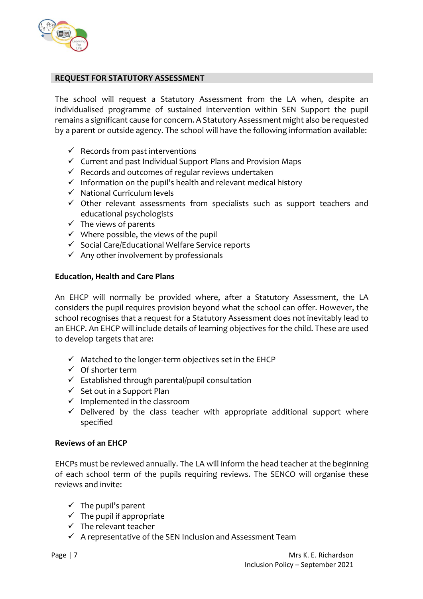

## **REQUEST FOR STATUTORY ASSESSMENT**

The school will request a Statutory Assessment from the LA when, despite an individualised programme of sustained intervention within SEN Support the pupil remains a significant cause for concern. A Statutory Assessment might also be requested by a parent or outside agency. The school will have the following information available:

- $\checkmark$  Records from past interventions
- ✓ Current and past Individual Support Plans and Provision Maps
- $\checkmark$  Records and outcomes of regular reviews undertaken
- $\checkmark$  Information on the pupil's health and relevant medical history
- ✓ National Curriculum levels
- $\checkmark$  Other relevant assessments from specialists such as support teachers and educational psychologists
- $\checkmark$  The views of parents
- $\checkmark$  Where possible, the views of the pupil
- ✓ Social Care/Educational Welfare Service reports
- $\checkmark$  Any other involvement by professionals

## **Education, Health and Care Plans**

An EHCP will normally be provided where, after a Statutory Assessment, the LA considers the pupil requires provision beyond what the school can offer. However, the school recognises that a request for a Statutory Assessment does not inevitably lead to an EHCP. An EHCP will include details of learning objectives for the child. These are used to develop targets that are:

- $\checkmark$  Matched to the longer-term objectives set in the EHCP
- $\checkmark$  Of shorter term
- $\checkmark$  Established through parental/pupil consultation
- $\checkmark$  Set out in a Support Plan
- $\checkmark$  Implemented in the classroom
- $\checkmark$  Delivered by the class teacher with appropriate additional support where specified

### **Reviews of an EHCP**

EHCPs must be reviewed annually. The LA will inform the head teacher at the beginning of each school term of the pupils requiring reviews. The SENCO will organise these reviews and invite:

- $\checkmark$  The pupil's parent
- $\checkmark$  The pupil if appropriate
- $\checkmark$  The relevant teacher
- $\checkmark$  A representative of the SEN Inclusion and Assessment Team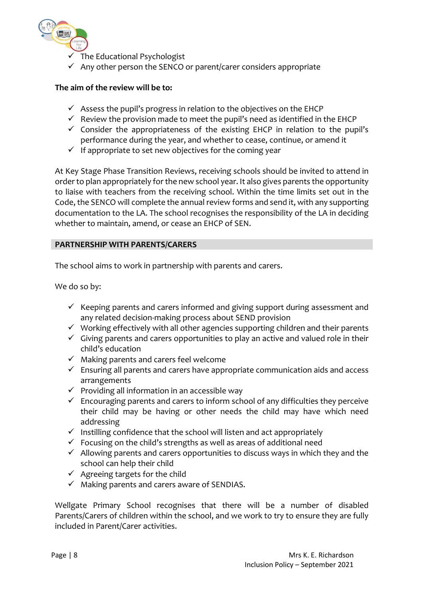

 $\Gamma$  The Educational Psychologist

 $\checkmark$  Any other person the SENCO or parent/carer considers appropriate

# **The aim of the review will be to:**

- $\checkmark$  Assess the pupil's progress in relation to the objectives on the EHCP
- $\checkmark$  Review the provision made to meet the pupil's need as identified in the EHCP
- ✓ Consider the appropriateness of the existing EHCP in relation to the pupil's performance during the year, and whether to cease, continue, or amend it
- $\checkmark$  If appropriate to set new objectives for the coming year

At Key Stage Phase Transition Reviews, receiving schools should be invited to attend in order to plan appropriately for the new school year. It also gives parents the opportunity to liaise with teachers from the receiving school. Within the time limits set out in the Code, the SENCO will complete the annual review forms and send it, with any supporting documentation to the LA. The school recognises the responsibility of the LA in deciding whether to maintain, amend, or cease an EHCP of SEN.

# **PARTNERSHIP WITH PARENTS/CARERS**

The school aims to work in partnership with parents and carers.

We do so by:

- $\checkmark$  Keeping parents and carers informed and giving support during assessment and any related decision-making process about SEND provision
- $\checkmark$  Working effectively with all other agencies supporting children and their parents
- $\checkmark$  Giving parents and carers opportunities to play an active and valued role in their child's education
- $\checkmark$  Making parents and carers feel welcome
- ✓ Ensuring all parents and carers have appropriate communication aids and access arrangements
- $\checkmark$  Providing all information in an accessible way
- $\checkmark$  Encouraging parents and carers to inform school of any difficulties they perceive their child may be having or other needs the child may have which need addressing
- $\checkmark$  Instilling confidence that the school will listen and act appropriately
- $\checkmark$  Focusing on the child's strengths as well as areas of additional need
- $\checkmark$  Allowing parents and carers opportunities to discuss ways in which they and the school can help their child
- $\checkmark$  Agreeing targets for the child
- $\checkmark$  Making parents and carers aware of SENDIAS.

Wellgate Primary School recognises that there will be a number of disabled Parents/Carers of children within the school, and we work to try to ensure they are fully included in Parent/Carer activities.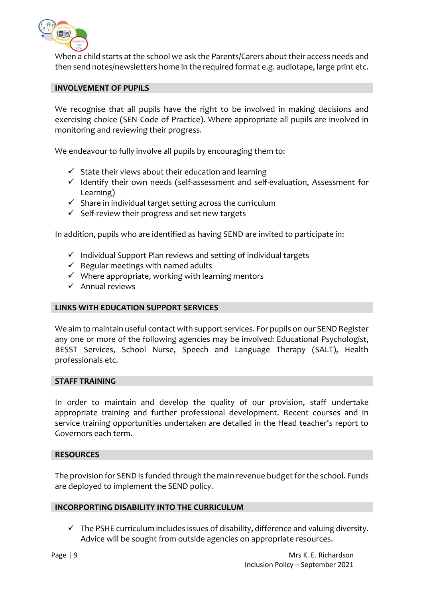

When a child starts at the school we ask the Parents/Carers about their access needs and then send notes/newsletters home in the required format e.g. audiotape, large print etc.

## **INVOLVEMENT OF PUPILS**

We recognise that all pupils have the right to be involved in making decisions and exercising choice (SEN Code of Practice). Where appropriate all pupils are involved in monitoring and reviewing their progress.

We endeavour to fully involve all pupils by encouraging them to:

- $\checkmark$  State their views about their education and learning
- $\checkmark$  Identify their own needs (self-assessment and self-evaluation, Assessment for Learning)
- $\checkmark$  Share in individual target setting across the curriculum
- $\checkmark$  Self-review their progress and set new targets

In addition, pupils who are identified as having SEND are invited to participate in:

- ✓ Individual Support Plan reviews and setting of individual targets
- $\checkmark$  Regular meetings with named adults
- $\checkmark$  Where appropriate, working with learning mentors
- $\checkmark$  Annual reviews

### **LINKS WITH EDUCATION SUPPORT SERVICES**

We aim to maintain useful contact with support services. For pupils on our SEND Register any one or more of the following agencies may be involved: Educational Psychologist, BESST Services, School Nurse, Speech and Language Therapy (SALT), Health professionals etc.

## **STAFF TRAINING**

In order to maintain and develop the quality of our provision, staff undertake appropriate training and further professional development. Recent courses and in service training opportunities undertaken are detailed in the Head teacher's report to Governors each term.

### **RESOURCES**

The provision for SEND is funded through the main revenue budget for the school. Funds are deployed to implement the SEND policy.

### **INCORPORTING DISABILITY INTO THE CURRICULUM**

 $\checkmark$  The PSHE curriculum includes issues of disability, difference and valuing diversity. Advice will be sought from outside agencies on appropriate resources.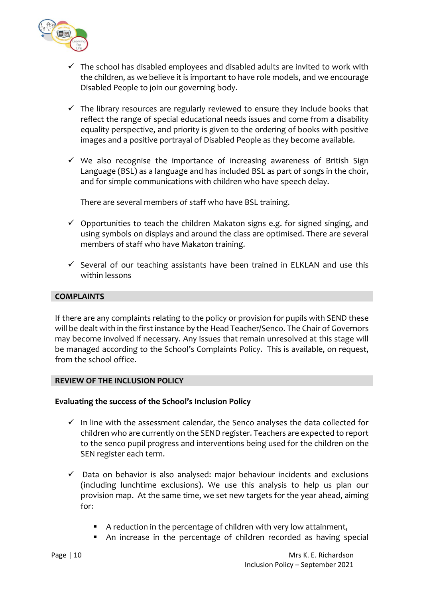

- $\checkmark$  The school has disabled employees and disabled adults are invited to work with the children, as we believe it is important to have role models, and we encourage Disabled People to join our governing body.
- $\checkmark$  The library resources are regularly reviewed to ensure they include books that reflect the range of special educational needs issues and come from a disability equality perspective, and priority is given to the ordering of books with positive images and a positive portrayal of Disabled People as they become available.
- $\checkmark$  We also recognise the importance of increasing awareness of British Sign Language (BSL) as a language and has included BSL as part of songs in the choir, and for simple communications with children who have speech delay.

There are several members of staff who have BSL training.

- $\checkmark$  Opportunities to teach the children Makaton signs e.g. for signed singing, and using symbols on displays and around the class are optimised. There are several members of staff who have Makaton training.
- $\checkmark$  Several of our teaching assistants have been trained in ELKLAN and use this within lessons

## **COMPLAINTS**

If there are any complaints relating to the policy or provision for pupils with SEND these will be dealt with in the first instance by the Head Teacher/Senco. The Chair of Governors may become involved if necessary. Any issues that remain unresolved at this stage will be managed according to the School's Complaints Policy. This is available, on request, from the school office.

### **REVIEW OF THE INCLUSION POLICY**

### **Evaluating the success of the School's Inclusion Policy**

- $\checkmark$  In line with the assessment calendar, the Senco analyses the data collected for children who are currently on the SEND register. Teachers are expected to report to the senco pupil progress and interventions being used for the children on the SEN register each term.
- $\checkmark$  Data on behavior is also analysed: major behaviour incidents and exclusions (including lunchtime exclusions). We use this analysis to help us plan our provision map. At the same time, we set new targets for the year ahead, aiming for:
	- A reduction in the percentage of children with very low attainment,
	- An increase in the percentage of children recorded as having special